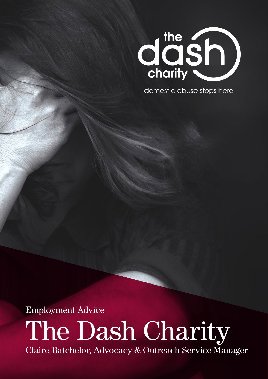

domestic abuse stops here

Employment Advice

The Dash Charity Claire Batchelor, Advocacy & Outreach Service Manager